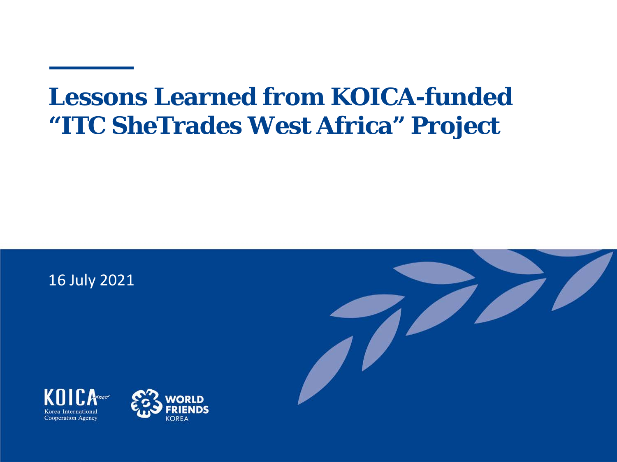# **Lessons Learned from KOICA-funded "ITC SheTrades West Africa" Project**







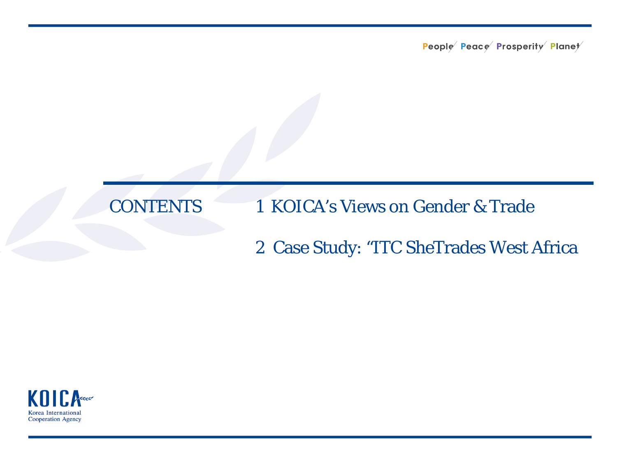### **CONTENTS**

#### 1 KOICA's Views on Gender & Trade

#### 2 Case Study: "ITC SheTrades West Africa

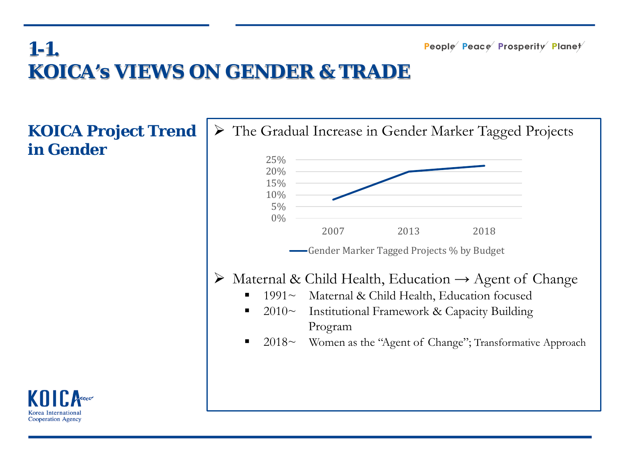# **1-1. KOICA's VIEWS ON GENDER & TRADE**

**KOICA Project Trend in Gender**



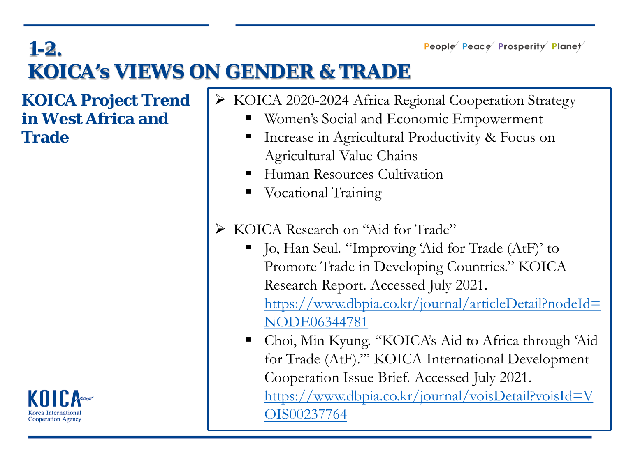## **1-2. KOICA's VIEWS ON GENDER & TRADE**

**KOICA Project Trend in West Africa and Trade**



- KOICA 2020-2024 Africa Regional Cooperation Strategy
	- **Women's Social and Economic Empowerment**
	- Increase in Agricultural Productivity & Focus on Agricultural Value Chains
	- Human Resources Cultivation
	- Vocational Training
- $\triangleright$  KOICA Research on "Aid for Trade"
	- Jo, Han Seul. "Improving 'Aid for Trade (AtF)' to Promote Trade in Developing Countries." KOICA Research Report. Accessed July 2021. [https://www.dbpia.co.kr/journal/articleDetail?nodeId=](https://www.dbpia.co.kr/journal/articleDetail?nodeId=NODE06344781) NODE06344781
	- Choi, Min Kyung. "KOICA's Aid to Africa through 'Aid for Trade (AtF).'" KOICA International Development Cooperation Issue Brief. Accessed July 2021. [https://www.dbpia.co.kr/journal/voisDetail?voisId=V](https://www.dbpia.co.kr/journal/voisDetail?voisId=VOIS00237764) OIS00237764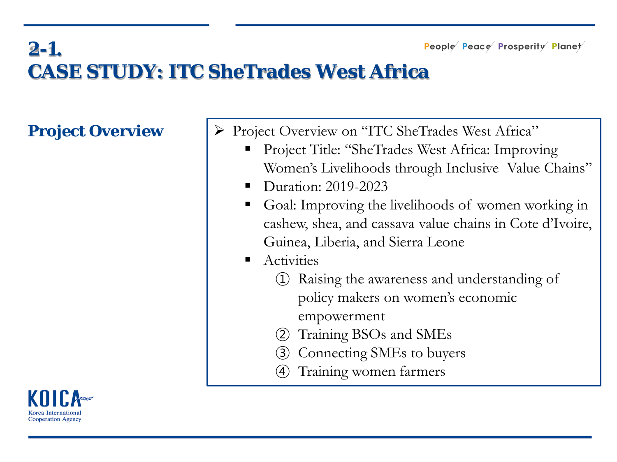### **2-1. CASE STUDY: ITC SheTrades West Africa**

**Project Overview**  $|\triangleright \text{Project Overview on "ITC SheTrades West Africa" }$ 

- Project Title: "SheTrades West Africa: Improving Women's Livelihoods through Inclusive Value Chains"
- Duration: 2019-2023
- Goal: Improving the livelihoods of women working in cashew, shea, and cassava value chains in Cote d'Ivoire, Guinea, Liberia, and Sierra Leone
- **Activities** 
	- ① Raising the awareness and understanding of policy makers on women's economic empowerment
	- ② Training BSOs and SMEs
	- Connecting SMEs to buyers
	- ④ Training women farmers

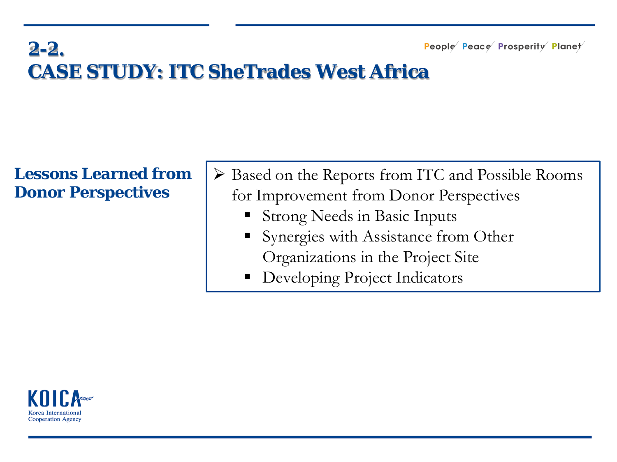# **2-2. CASE STUDY: ITC SheTrades West Africa**

#### **Lessons Learned from Donor Perspectives**

- Based on the Reports from ITC and Possible Rooms for Improvement from Donor Perspectives
	- Strong Needs in Basic Inputs
	- Synergies with Assistance from Other Organizations in the Project Site
	- Developing Project Indicators